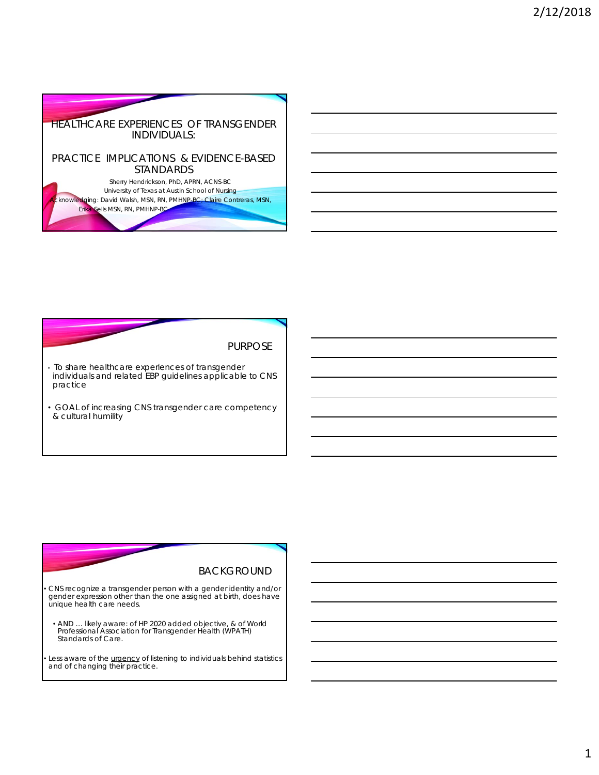

PURPOSE

- To share healthcare experiences of transgender individuals and related EBP guidelines applicable to CNS practice
- GOAL of increasing CNS transgender care competency & cultural humility

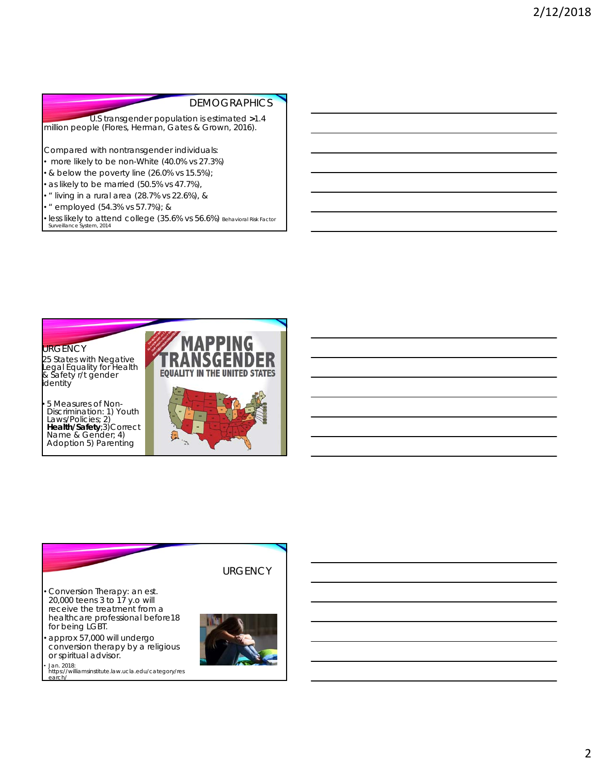## **DEMOGRAPHICS**

U.S transgender population is estimated **>***1.4 million* people (Flores, Herman, Gates & Grown, 2016).

Compared with nontransgender individuals:

• more likely to be non-White (40.0% vs 27.3%)

• & below the poverty line (26.0% vs 15.5%);

• as likely to be married (50.5% vs 47.7%),

• " living in a rural area (28.7% vs 22.6%), &

• " employed (54.3% vs 57.7%); &

• less likely to attend college (35.6% vs 56.6%) Behavioral Risk Factor Surveillance System, 2014



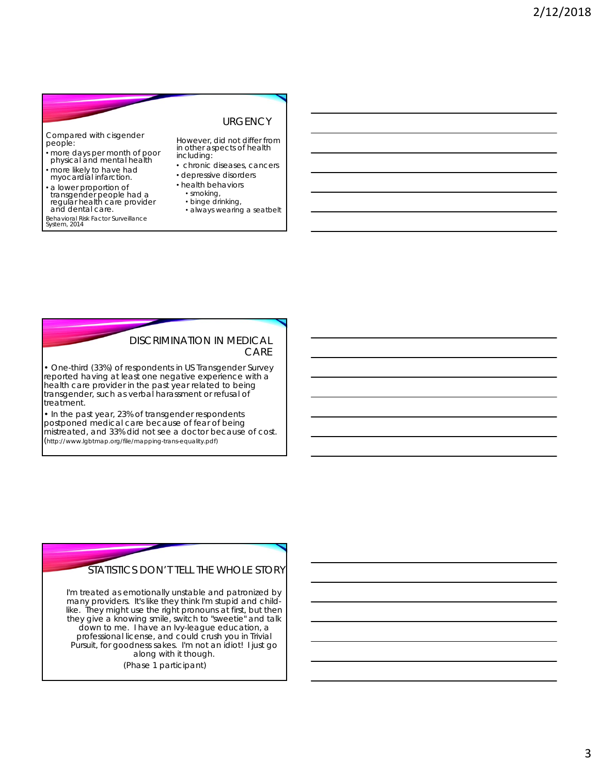### **URGENCY**

Compared with cisgender people:

- more days per month of poor physical and mental health
- more likely to have had myocardial infarction.
- a lower proportion of transgender people had a regular health care provider and dental care.
- Behavioral Risk Factor Surveillance System, 2014

However, did *not* differ from in other aspects of health including:

- chronic diseases, cancers
- depressive disorders
- health behaviors • smoking,
	- binge drinking,
	- always wearing a seatbelt

#### DISCRIMINATION IN MEDICAL CARE

• One-third (33%) of respondents in US Transgender Survey reported having at least one negative experience with a health care provider in the past year related to being transgender, such as verbal harassment or refusal of treatment.

• In the past year, 23% of transgender respondents postponed medical care because of fear of being mistreated, and 33% did not see a doctor because of cost. (http://www.lgbtmap.org/file/mapping-trans-equality.pdf)



*I'm treated as emotionally unstable and patronized by many providers. It's like they think I'm stupid and childlike. They might use the right pronouns at first, but then they give a knowing smile, switch to "sweetie" and talk down to me. I have an Ivy-league education, a professional license, and could crush you in Trivial Pursuit, for goodness sakes. I'm not an idiot! I just go along with it though.* 

*(Phase 1 participant)*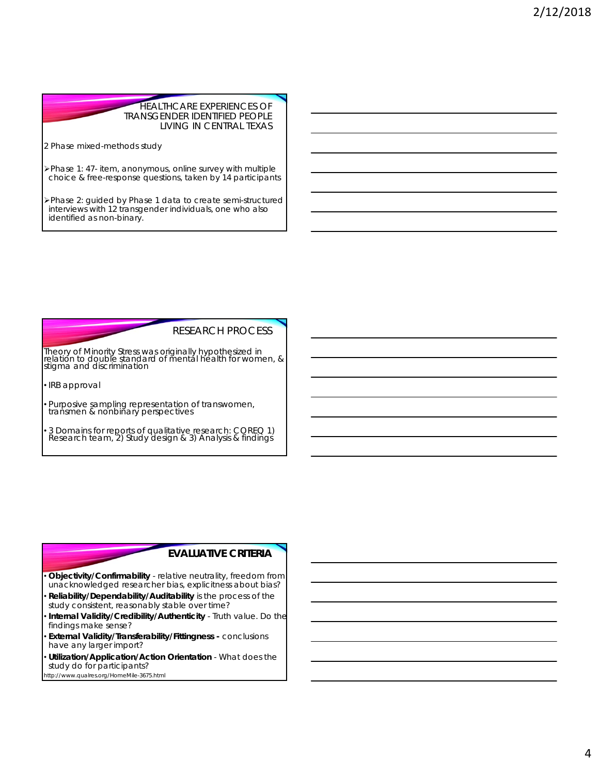#### HEALTHCARE EXPERIENCES OF TRANSGENDER IDENTIFIED PEOPLE LIVING IN CENTRAL TEXAS

2 Phase mixed-methods study

Phase 1: 47- item, anonymous, online survey with multiple choice & free-response questions, taken by 14 participants

Phase 2: guided by Phase 1 data to create semi-structured interviews with 12 transgender individuals, one who also identified as non-binary.

#### RESEARCH PROCESS

Theory of Minority Stress was originally hypothesized in relation to double standard of mental health for women, & stigma and discrimination

• IRB approval

• Purposive sampling representation of transwomen, transmen & nonbinary perspectives

• 3 Domains for reports of qualitative research: COREQ 1) Research team, 2) Study design & 3) Analysis & findings

## **EVALUATIVE CRITERIA**

- **Objectivity/Confirmability** relative neutrality, freedom from unacknowledged researcher bias, explicitness about bias?
- **Reliability/Dependability/Auditability** is the process of the study consistent, reasonably stable over time?
- **Internal Validity/Credibility/Authenticity** Truth value. Do the findings make sense?
- **External Validity/Transferability/Fittingness -** conclusions have any larger import?
- **Utilization/Application/Action Orientation** What does the study do for participants?

http://www.qualres.org/HomeMile-3675.html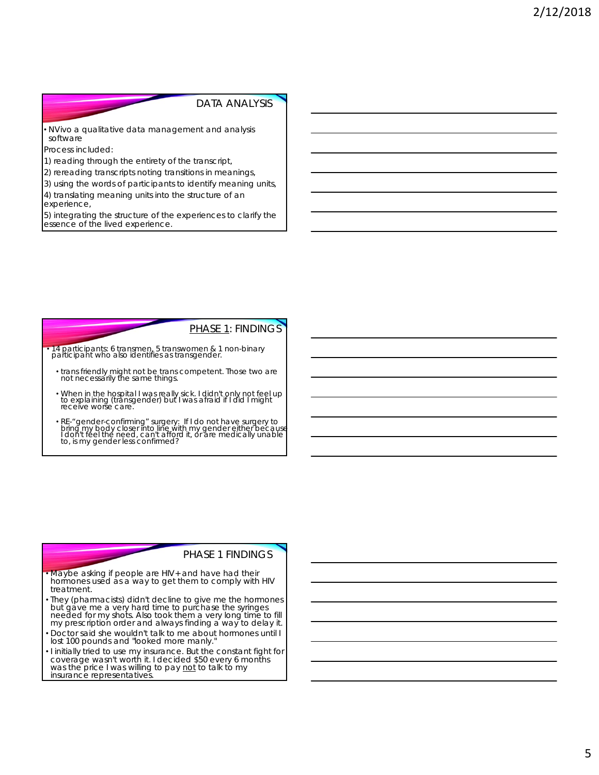#### DATA ANALYSIS

• NVivo a qualitative data management and analysis software

Process included:

1) reading through the entirety of the transcript,

2) rereading transcripts noting transitions in meanings,

3) using the words of participants to identify meaning units, 4) translating meaning units into the structure of an

experience,

5) integrating the structure of the experiences to clarify the essence of the lived experience.

## PHASE 1: FINDINGS

• 14 participants: 6 transmen, 5 transwomen & 1 non-binary participant who also identifies as transgender.

- *trans friendly might not be trans competent. Those two are not necessarily the same things.*
- *When in the hospital I was really sick. I didn't only not feel up to explaining (transgender) but I was afraid if I did I might receive worse care.*
- RE-"gender-confirming" surgery: If I do not have surgery to<br>bring my body closer into line with my gender either because<br>I don't feel the need, can't afford it, or are medically unable<br>to, is my gender less confirmed?

### PHASE 1 FINDINGS

- *Maybe asking if people are HIV+ and have had their hormones used as a way to get them to comply with HIV treatment.*
- *They* (pharmacists*) didn't decline to give me the hormones but gave me a very hard time to purchase the syringes needed for my shots. Also took them a very long time to fill my prescription order and always finding a way to delay it.*
- *Doctor said she wouldn't talk to me about hormones until I lost 100 pounds and "looked more manly."*
- *I initially tried to use my insurance. But the constant fight for coverage wasn't worth it. I decided \$50 every 6 months was the price I was willing to pay not to talk to my insurance representatives.*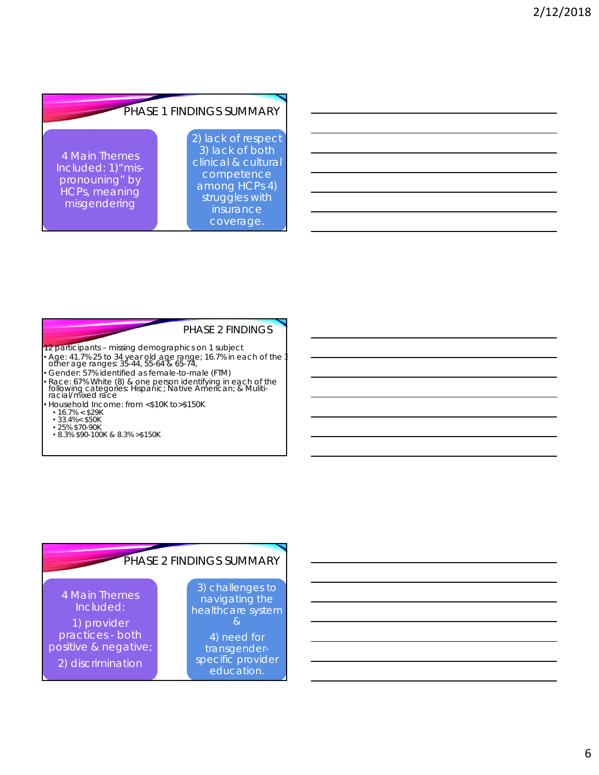#### PHASE 1 FINDINGS SUMMARY 4 Main Themes Included: 1)"mispronouning" by HCPs, meaning misgendering 2) lack of respect 3) lack of both clinical & cultural competence among HCPs 4) struggles with insurance coverage.

#### PHASE 2 FINDINGS

- 12 participants missing demographics on 1 subject • Age: 41.7% 25 to 34 year old age range; 16.7% in each of the 3 other age ranges: 35-44, 55-64 & 65-74,
- Gender: 57% identified as female-to-male (FTM)
- Race: 67% White (8) & one person identifying in each of the following categories: Hispanic; Native American; & Muliti-racial/mixed race
- Household Income: from <\$10K to>\$150K
- 
- 16.7% < \$29K 33.4%< \$50K
- 25% \$70-90K
- 8.3% \$90-100K & 8.3% >\$150K

# PHASE 2 FINDINGS SUMMARY

4 Main Themes Included:

1) provider practices - both positive & negative; 2) discrimination

3) challenges to navigating the healthcare system &

4) need for transgenderspecific provider education.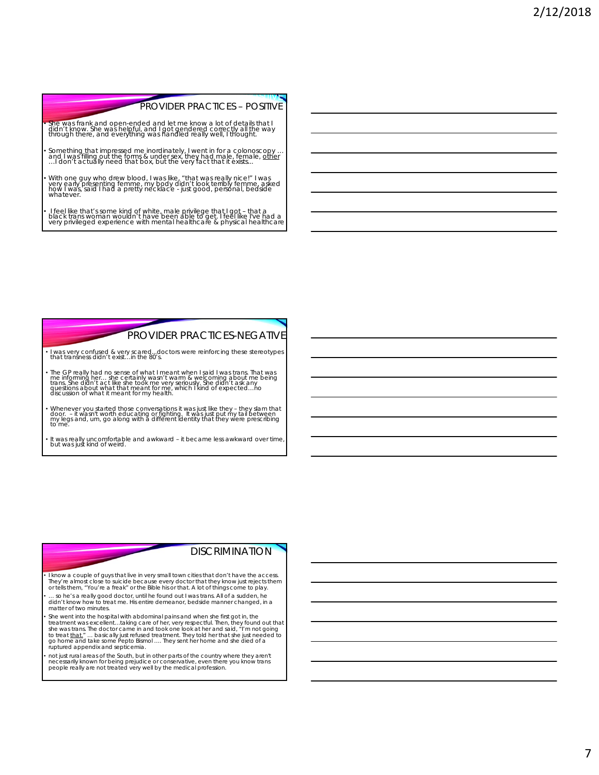## PROVIDER PRACTICES – POSITIVE

- BOTH POSITIVE

• She was frank and open-ended and let me know a lot of details that I<br>didn't know. She was helpful, and I got gendered correctly all the way<br>through there, and everything was handled really well, I thought.

- Something that impressed me inordinately, I went in for a colonoscopy ...<br>and I was filling out the forms & under sex, they had male, efemale, <u>other</u><br>...I don't actually need that box, but the very fact that it exists..
- With one guy who drew blood, I was like, "that was really nice!" I was<br>very early presenting femme, my body didn't look terribly femme, asked<br>how I was, said I had a pretty necklace just good, personal, bedside *whatever.*

• I feel like that's some kind of white, male privilege that I got – that a<br>black trans woman wouldn't have been able to get. I feel like I've had a<br>very privileged experience with mental healthcare & physical healthcare

# PROVIDER PRACTICES-NEGATIVE

- *I was very confused & very scared...doctors were reinforcing these stereotypes that transness didn't exist…in the 80's.*
- The GP really had no sense of what I meant when I said I was trans. That was<br>me informing her... she certainly wasn't warm & welcoming about me being<br>trans. She didn't act like she took me very seriously. She didn't ask
- Whenever you started those conversations it was just like they they slam that<br>door. it wasn't worth educating or fighting. It was just put my tail between<br>my legs and, um, go along with a different identity that th
- *It was really uncomfortable and awkward it became less awkward over time, but was just kind of weird.*

# **DISCRIMINATION**

• I know a couple of guys that live in very small town cities that don't have the access.<br>They're almost close to suicide because every doctor that they know just rejects them<br>or tells them, \*You're a freak" or the Bible h

• *… so he's a really good doctor, until he found out I was trans. All of a sudden, he didn't know how to treat me. His entire demeanor, bedside manner changed, in a matter of two minutes.*

• *She went into the hospital with abdominal pains and when she first got in, the*  treatment was excellent...taking care of her, very respectful. Then, they found out that<br>she was trans. The doctor came in and took one look at her and said, "I'm not going<br>to treat <u>that.</u>" ... basically just refused trea *ruptured appendix and septicemia.* 

• *not just rural areas of the South, but in other parts of the country where they aren't necessarily known for being prejudice or conservative, even there you know trans people really are not treated very well by the medical profession.*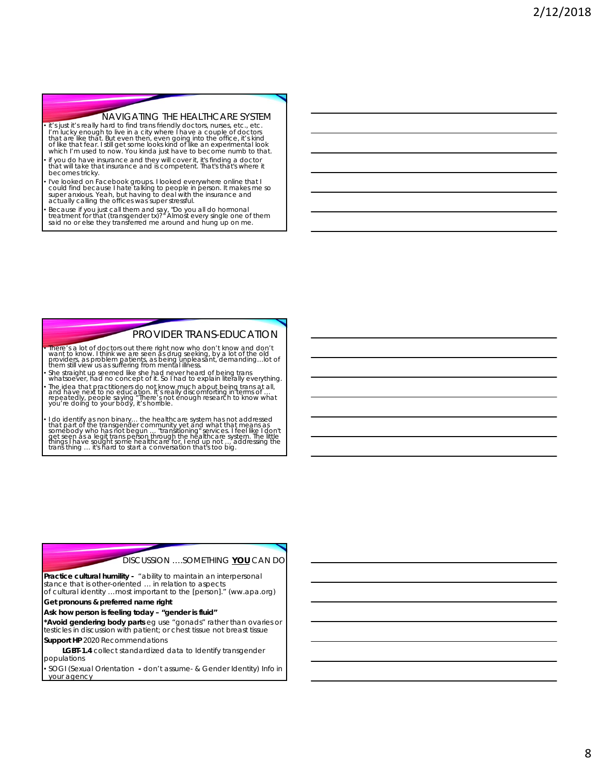#### NAVIGATING THE HEALTHCARE SYSTEM

- *it's just it's really hard to find trans friendly doctors, nurses, etc., etc.*<br>I'm lucky enough to live in a city where I have a couple of doctors r in lucky enough to live in a cuy whete maye a couple of uoctions<br>that are like that. But even then, even ging into the office, it's kind<br>of like that fear. I still get some looks kind of like an experimental look<br>which I
- *if you do have insurance and they will cover it, it's finding a doctor that will take that insurance and is competent. That's that's where it becomes tricky.*
- *I've looked on Facebook groups. I looked everywhere online that I could find because I hate talking to people in person. It makes me so super anxious. Yeah, but having to deal with the insurance and actually calling the offices was super stressful.*
- *Because if you just call them and say, "Do you all do hormonal treatment for that (transgender tx)?" Almost every single one of them said no or else they transferred me around and hung up on me.*

## PROVIDER TRANS-EDUCATION

• *There's a lot of doctors out there right now who don't know and don't want to know. I think we are seen as drug seeking, by a lot of the old providers, as problem patients, as being unpleasant, demanding…lot of them still view us as suffering from mental illness.*

• *She straight up seemed like she had never heard of being trans whatsoever, had no concept of it. So I had to explain literally everything.* • The idea that practitioners do not know much about being trans at all,<br>and have next to no education. It's really discomforting in terms of ...<br>repeatedly, people saying "There's not enough research to know what<br>you're d

I do identify as non binary... the healthcare system has not addressed that part of the transgender community yet and what that means as somebody who has not begun ... "transitioning" services. I feel like I don't<br>get seen

#### DISCUSSION ….*SOMETHING* **YOU** CAN DO

**Practice cultural humility -** "ability to maintain an interpersonal stance that is other-oriented … in relation to aspects of cultural identity …most important to the [person]." (ww.apa.org)

**Get pronouns & preferred name right** 

**Ask how person is feeling today – "gender is fluid"** 

**\*Avoid gendering body parts** eg use "gonads" rather than ovaries or testicles in discussion with patient; or chest tissue not breast tissue **Support HP** 2020 Recommendations

**LGBT-1.4** collect standardized data to Identify transgender populations

• SOGI (Sexual Orientation **-** *don't assume-* & Gender Identity) Info in your agency